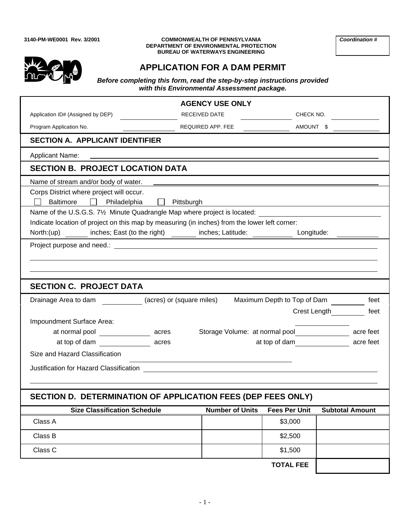#### **3140-PM-WE0001 Rev. 3/2001 COMMONWEALTH OF PENNSYLVANIA** *Coordination #* **DEPARTMENT OF ENVIRONMENTAL PROTECTION BUREAU OF WATERWAYS ENGINEERING**



# **APPLICATION FOR A DAM PERMIT**

*Before completing this form, read the step-by-step instructions provided with this Environmental Assessment package.*

|                                                                                                                                                                                                                                      | <b>AGENCY USE ONLY</b>                        |                             |                        |
|--------------------------------------------------------------------------------------------------------------------------------------------------------------------------------------------------------------------------------------|-----------------------------------------------|-----------------------------|------------------------|
| Application ID# (Assigned by DEP)                                                                                                                                                                                                    | RECEIVED DATE                                 | CHECK NO.                   |                        |
| Program Application No.                                                                                                                                                                                                              | REQUIRED APP. FEE                             | AMOUNT \$                   |                        |
| <b>SECTION A. APPLICANT IDENTIFIER</b>                                                                                                                                                                                               |                                               |                             |                        |
| <b>Applicant Name:</b>                                                                                                                                                                                                               |                                               |                             |                        |
| <b>SECTION B. PROJECT LOCATION DATA</b>                                                                                                                                                                                              |                                               |                             |                        |
| Name of stream and/or body of water.                                                                                                                                                                                                 |                                               |                             |                        |
| Corps District where project will occur.<br><b>Baltimore</b><br>Philadelphia                                                                                                                                                         | Pittsburgh                                    |                             |                        |
| Name of the U.S.G.S. 7 <sup>1</sup> / <sub>2</sub> Minute Quadrangle Map where project is located:                                                                                                                                   |                                               |                             |                        |
| Indicate location of project on this map by measuring (in inches) from the lower left corner:                                                                                                                                        |                                               |                             |                        |
| inches; East (to the right) ________ inches; Latitude: ___________<br>North:(up)                                                                                                                                                     |                                               | Longitude:                  |                        |
| Project purpose and need.: <u>example and the set of the set of the set of the set of the set of the set of the set of the set of the set of the set of the set of the set of the set of the set of the set of the set of the se</u> |                                               |                             |                        |
|                                                                                                                                                                                                                                      |                                               |                             |                        |
|                                                                                                                                                                                                                                      |                                               |                             |                        |
| <b>SECTION C. PROJECT DATA</b>                                                                                                                                                                                                       |                                               |                             |                        |
| (acres) or (square miles)<br>Drainage Area to dam                                                                                                                                                                                    |                                               | Maximum Depth to Top of Dam | feet                   |
|                                                                                                                                                                                                                                      |                                               | Crest Length                | feet                   |
| Impoundment Surface Area:                                                                                                                                                                                                            |                                               |                             |                        |
| at normal pool ______________<br>acres                                                                                                                                                                                               | Storage Volume: at normal pool_______________ |                             | acre feet              |
| at top of dam acres                                                                                                                                                                                                                  |                                               | at top of dam               | acre feet              |
| Size and Hazard Classification                                                                                                                                                                                                       |                                               |                             |                        |
|                                                                                                                                                                                                                                      |                                               |                             |                        |
|                                                                                                                                                                                                                                      |                                               |                             |                        |
| SECTION D. DETERMINATION OF APPLICATION FEES (DEP FEES ONLY)                                                                                                                                                                         |                                               |                             |                        |
| <b>Size Classification Schedule</b>                                                                                                                                                                                                  | <b>Number of Units</b>                        | <b>Fees Per Unit</b>        | <b>Subtotal Amount</b> |
| Class A                                                                                                                                                                                                                              |                                               | \$3,000                     |                        |
| Class B                                                                                                                                                                                                                              |                                               | \$2,500                     |                        |
|                                                                                                                                                                                                                                      |                                               |                             |                        |
| Class C                                                                                                                                                                                                                              |                                               | \$1,500                     |                        |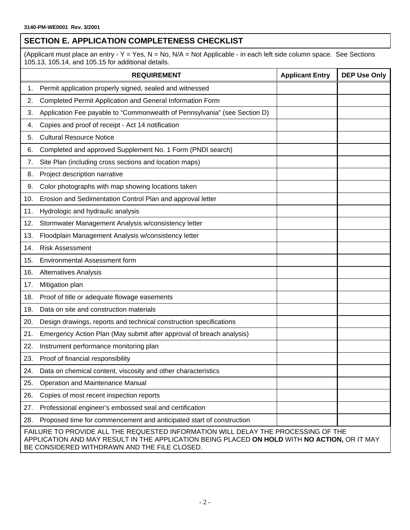### **SECTION E. APPLICATION COMPLETENESS CHECKLIST**

(Applicant must place an entry - Y = Yes, N = No, N/A = Not Applicable - in each left side column space. See Sections 105.13, 105.14, and 105.15 for additional details.

|     | <b>REQUIREMENT</b>                                                                                                                                                                                                                | <b>Applicant Entry</b> | <b>DEP Use Only</b> |
|-----|-----------------------------------------------------------------------------------------------------------------------------------------------------------------------------------------------------------------------------------|------------------------|---------------------|
| 1.  | Permit application properly signed, sealed and witnessed                                                                                                                                                                          |                        |                     |
| 2.  | Completed Permit Application and General Information Form                                                                                                                                                                         |                        |                     |
| 3.  | Application Fee payable to "Commonwealth of Pennsylvania" (see Section D)                                                                                                                                                         |                        |                     |
| 4.  | Copies and proof of receipt - Act 14 notification                                                                                                                                                                                 |                        |                     |
| 5.  | <b>Cultural Resource Notice</b>                                                                                                                                                                                                   |                        |                     |
| 6.  | Completed and approved Supplement No. 1 Form (PNDI search)                                                                                                                                                                        |                        |                     |
| 7.  | Site Plan (including cross sections and location maps)                                                                                                                                                                            |                        |                     |
| 8.  | Project description narrative                                                                                                                                                                                                     |                        |                     |
| 9.  | Color photographs with map showing locations taken                                                                                                                                                                                |                        |                     |
| 10. | Erosion and Sedimentation Control Plan and approval letter                                                                                                                                                                        |                        |                     |
| 11. | Hydrologic and hydraulic analysis                                                                                                                                                                                                 |                        |                     |
| 12. | Stormwater Management Analysis w/consistency letter                                                                                                                                                                               |                        |                     |
| 13. | Floodplain Management Analysis w/consistency letter                                                                                                                                                                               |                        |                     |
| 14. | <b>Risk Assessment</b>                                                                                                                                                                                                            |                        |                     |
| 15. | <b>Environmental Assessment form</b>                                                                                                                                                                                              |                        |                     |
| 16. | <b>Alternatives Analysis</b>                                                                                                                                                                                                      |                        |                     |
| 17. | Mitigation plan                                                                                                                                                                                                                   |                        |                     |
| 18. | Proof of title or adequate flowage easements                                                                                                                                                                                      |                        |                     |
| 19. | Data on site and construction materials                                                                                                                                                                                           |                        |                     |
| 20. | Design drawings, reports and technical construction specifications                                                                                                                                                                |                        |                     |
| 21. | Emergency Action Plan (May submit after approval of breach analysis)                                                                                                                                                              |                        |                     |
| 22. | Instrument performance monitoring plan                                                                                                                                                                                            |                        |                     |
| 23. | Proof of financial responsibility                                                                                                                                                                                                 |                        |                     |
| 24. | Data on chemical content, viscosity and other characteristics                                                                                                                                                                     |                        |                     |
| 25. | Operation and Maintenance Manual                                                                                                                                                                                                  |                        |                     |
| 26. | Copies of most recent inspection reports                                                                                                                                                                                          |                        |                     |
| 27. | Professional engineer's embossed seal and certification                                                                                                                                                                           |                        |                     |
| 28. | Proposed time for commencement and anticipated start of construction                                                                                                                                                              |                        |                     |
|     | FAILURE TO PROVIDE ALL THE REQUESTED INFORMATION WILL DELAY THE PROCESSING OF THE<br>APPLICATION AND MAY RESULT IN THE APPLICATION BEING PLACED ON HOLD WITH NO ACTION, OR IT MAY<br>BE CONSIDERED WITHDRAWN AND THE FILE CLOSED. |                        |                     |